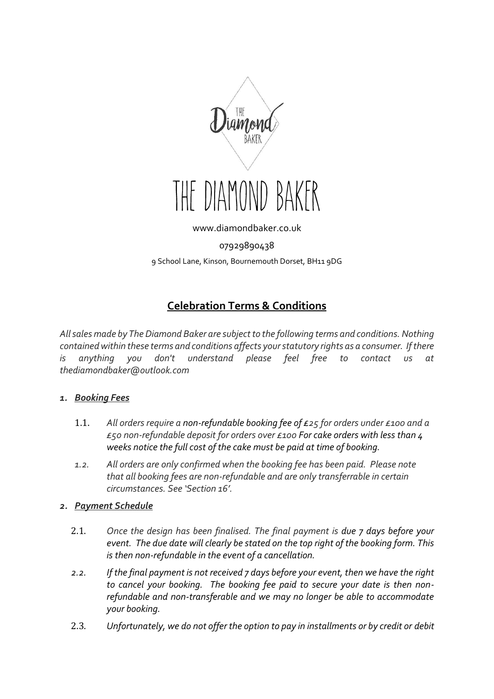

THE DIAMOND

[www.diamondbaker.co.uk](http://www.diamondbaker.co.uk/)

07929890438

9 School Lane, Kinson, Bournemouth Dorset, BH11 9DG

# **Celebration Terms & Conditions**

*All sales made by The Diamond Baker are subject to the following terms and conditions. Nothing contained within these terms and conditions affects your statutory rights as a consumer. If there*  is anything you don't understand please feel free to contact us at *thediamondbaker@outlook.com*

## *1. Booking Fees*

- 1.1. *All orders require a non-refundable booking fee of £25 for orders under £100 and a £50 non-refundable deposit for orders over £100 For cake orders with less than 4 weeks notice the full cost of the cake must be paid at time of booking.*
- *1.2. All orders are only confirmed when the booking fee has been paid. Please note that all booking fees are non-refundable and are only transferrable in certain circumstances. See 'Section 16'.*

## *2. Payment Schedule*

- 2.1. *Once the design has been finalised. The final payment is due 7 days before your event. The due date will clearly be stated on the top right of the booking form. This is then non-refundable in the event of a cancellation.*
- *2.2. If the final payment is not received 7 days before your event, then we have the right to cancel your booking. The booking fee paid to secure your date is then nonrefundable and non-transferable and we may no longer be able to accommodate your booking.*
- 2.3. *Unfortunately, we do not offer the option to pay in installments or by credit or debit*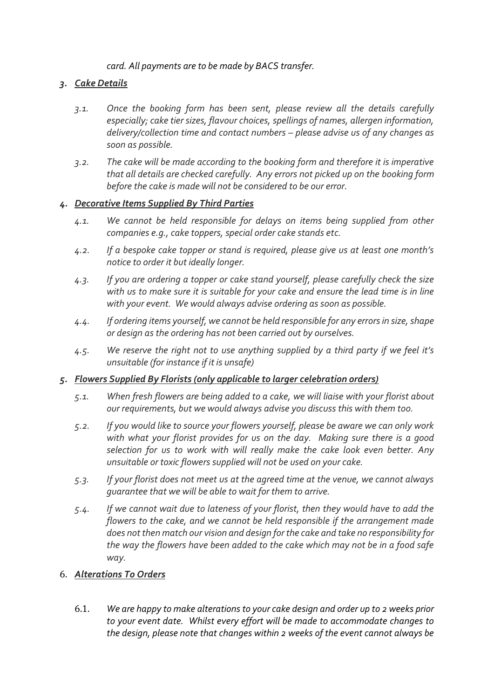*card. All payments are to be made by BACS transfer.*

## *3. Cake Details*

- *3.1. Once the booking form has been sent, please review all the details carefully especially; cake tier sizes, flavour choices, spellings of names, allergen information, delivery/collection time and contact numbers – please advise us of any changes as soon as possible.*
- *3.2. The cake will be made according to the booking form and therefore it is imperative that all details are checked carefully. Any errors not picked up on the booking form before the cake is made will not be considered to be our error.*

## *4. Decorative Items Supplied By Third Parties*

- *4.1. We cannot be held responsible for delays on items being supplied from other companies e.g., cake toppers, special order cake stands etc.*
- *4.2. If a bespoke cake topper or stand is required, please give us at least one month's notice to order it but ideally longer.*
- *4.3. If you are ordering a topper or cake stand yourself, please carefully check the size*  with us to make sure it is suitable for your cake and ensure the lead time is in line *with your event. We would always advise ordering as soon as possible.*
- *4.4. If ordering items yourself, we cannot be held responsible for any errors in size, shape or design as the ordering has not been carried out by ourselves.*
- *4.5. We reserve the right not to use anything supplied by a third party if we feel it's unsuitable (for instance if it is unsafe)*

## *5. Flowers Supplied By Florists (only applicable to larger celebration orders)*

- *5.1. When fresh flowers are being added to a cake, we will liaise with your florist about our requirements, but we would always advise you discuss this with them too.*
- *5.2. If you would like to source your flowers yourself, please be aware we can only work with what your florist provides for us on the day. Making sure there is a good selection for us to work with will really make the cake look even better. Any unsuitable or toxic flowers supplied will not be used on your cake.*
- *5.3. If your florist does not meet us at the agreed time at the venue, we cannot always guarantee that we will be able to wait for them to arrive.*
- *5.4. If we cannot wait due to lateness of your florist, then they would have to add the flowers to the cake, and we cannot be held responsible if the arrangement made does not then match our vision and design for the cake and take no responsibility for the way the flowers have been added to the cake which may not be in a food safe way.*

# 6. *Alterations To Orders*

6.1. *We are happy to make alterations to your cake design and order up to 2 weeks prior to your event date. Whilst every effort will be made to accommodate changes to the design, please note that changes within 2 weeks of the event cannot always be*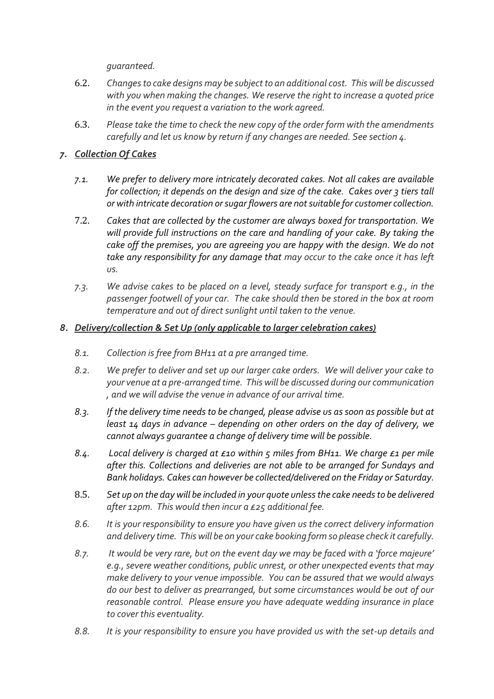*guaranteed.*

- 6.2. *Changes to cake designs may be subject to an additional cost. This will be discussed with you when making the changes. We reserve the right to increase a quoted price in the event you request a variation to the work agreed.*
- 6.3. *Please take the time to check the new copy of the order form with the amendments carefully and let us know by return if any changes are needed. See section 4.*

## *7. Collection Of Cakes*

- *7.1. We prefer to delivery more intricately decorated cakes. Not all cakes are available for collection; it depends on the design and size of the cake. Cakes over 3 tiers tall or with intricate decoration or sugar flowers are not suitable for customer collection.*
- 7.2. *Cakes that are collected by the customer are always boxed for transportation. We will provide full instructions on the care and handling of your cake. By taking the cake off the premises, you are agreeing you are happy with the design. We do not take any responsibility for any damage that may occur to the cake once it has left us.*
- *7.3. We advise cakes to be placed on a level, steady surface for transport e.g., in the passenger footwell of your car. The cake should then be stored in the box at room temperature and out of direct sunlight until taken to the venue.*

## *8. Delivery/collection & Set Up (only applicable to larger celebration cakes)*

- *8.1. Collection is free from BH11 at a pre arranged time.*
- *8.2. We prefer to deliver and set up our larger cake orders. We will deliver your cake to your venue at a pre-arranged time. This will be discussed during our communication , and we will advise the venue in advance of our arrival time.*
- *8.3. If the delivery time needs to be changed, please advise us as soon as possible but at least 14 days in advance – depending on other orders on the day of delivery, we cannot always guarantee a change of delivery time will be possible.*
- *8.4. Local delivery is charged at £10 within 5 miles from BH11. We charge £1 per mile after this. Collections and deliveries are not able to be arranged for Sundays and Bank holidays. Cakes can however be collected/delivered on the Friday or Saturday.*
- 8.5. *Set up on the day will be included in your quote unless the cake needs to be delivered after 12pm. This would then incur a £25 additional fee.*
- *8.6. It is your responsibility to ensure you have given us the correct delivery information and delivery time. This will be on your cake booking form so please check it carefully.*
- *8.7. It would be very rare, but on the event day we may be faced with a 'force majeure' e.g., severe weather conditions, public unrest, or other unexpected events that may make delivery to your venue impossible. You can be assured that we would always do our best to deliver as prearranged, but some circumstances would be out of our reasonable control. Please ensure you have adequate wedding insurance in place to cover this eventuality.*
- *8.8. It is your responsibility to ensure you have provided us with the set-up details and*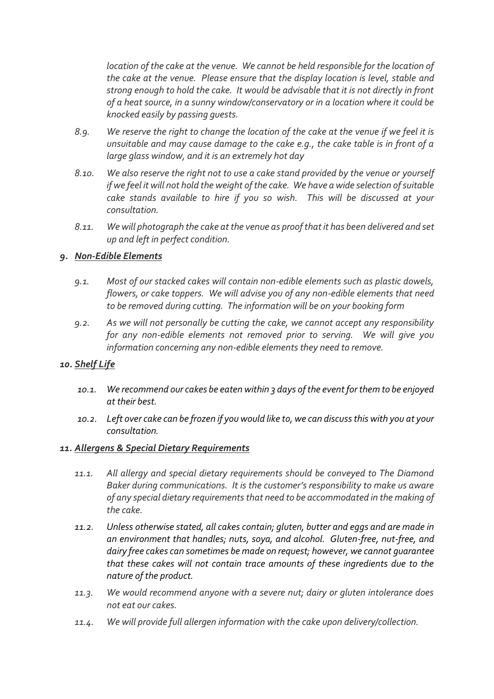*location of the cake at the venue. We cannot be held responsible for the location of the cake at the venue. Please ensure that the display location is level, stable and strong enough to hold the cake. It would be advisable that it is not directly in front of a heat source, in a sunny window/conservatory or in a location where it could be knocked easily by passing guests.*

- *8.9. We reserve the right to change the location of the cake at the venue if we feel it is unsuitable and may cause damage to the cake e.g., the cake table is in front of a large glass window, and it is an extremely hot day*
- *8.10. We also reserve the right not to use a cake stand provided by the venue or yourself if we feel it will not hold the weight of the cake. We have a wide selection of suitable cake stands available to hire if you so wish. This will be discussed at your consultation.*
- *8.11. We will photograph the cake at the venue as proof that it has been delivered and set up and left in perfect condition.*

## *9. Non-Edible Elements*

- *9.1. Most of our stacked cakes will contain non-edible elements such as plastic dowels, flowers, or cake toppers. We will advise you of any non-edible elements that need to be removed during cutting. The information will be on your booking form*
- *9.2. As we will not personally be cutting the cake, we cannot accept any responsibility for any non-edible elements not removed prior to serving. We will give you information concerning any non-edible elements they need to remove.*

## *10. Shelf Life*

- *10.1. We recommend our cakes be eaten within 3 days of the event for them to be enjoyed at their best.*
- *10.2. Left over cake can be frozen if you would like to, we can discuss this with you at your consultation.*

## *11. Allergens & Special Dietary Requirements*

- *11.1. All allergy and special dietary requirements should be conveyed to The Diamond Baker during communications. It is the customer's responsibility to make us aware of any special dietary requirements that need to be accommodated in the making of the cake.*
- *11.2. Unless otherwise stated, all cakes contain; gluten, butter and eggs and are made in an environment that handles; nuts, soya, and alcohol. Gluten-free, nut-free, and dairy free cakes can sometimes be made on request; however, we cannot guarantee that these cakes will not contain trace amounts of these ingredients due to the nature of the product.*
- *11.3. We would recommend anyone with a severe nut; dairy or gluten intolerance does not eat our cakes.*
- *11.4. We will provide full allergen information with the cake upon delivery/collection.*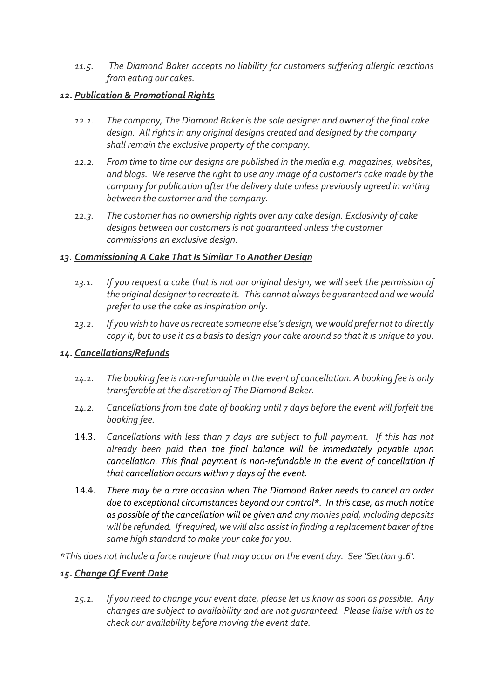*11.5. The Diamond Baker accepts no liability for customers suffering allergic reactions from eating our cakes.* 

## *12. Publication & Promotional Rights*

- *12.1. The company, The Diamond Baker is the sole designer and owner of the final cake design. All rights in any original designs created and designed by the company shall remain the exclusive property of the company.*
- *12.2. From time to time our designs are published in the media e.g. magazines, websites, and blogs. We reserve the right to use any image of a customer's cake made by the company for publication after the delivery date unless previously agreed in writing between the customer and the company.*
- *12.3. The customer has no ownership rights over any cake design. Exclusivity of cake designs between our customers is not guaranteed unless the customer commissions an exclusive design.*

## *13. Commissioning A Cake That Is Similar To Another Design*

- *13.1. If you request a cake that is not our original design, we will seek the permission of the original designer to recreate it. This cannot always be guaranteed and we would prefer to use the cake as inspiration only.*
- *13.2. If you wish to have us recreate someone else's design, we would prefer not to directly copy it, but to use it as a basis to design your cake around so that it is unique to you.*

## *14. Cancellations/Refunds*

- *14.1. The booking fee is non-refundable in the event of cancellation. A booking fee is only transferable at the discretion of The Diamond Baker.*
- *14.2. Cancellations from the date of booking until 7 days before the event will forfeit the booking fee.*
- 14.3. *Cancellations with less than 7 days are subject to full payment. If this has not already been paid then the final balance will be immediately payable upon cancellation. This final payment is non-refundable in the event of cancellation if that cancellation occurs within 7 days of the event.*
- 14.4. *There may be a rare occasion when The Diamond Baker needs to cancel an order due to exceptional circumstances beyond our control\*. In this case, as much notice as possible of the cancellation will be given and any monies paid, including deposits will be refunded. If required, we will also assist in finding a replacement baker of the same high standard to make your cake for you.*

*\*This does not include a force majeure that may occur on the event day. See 'Section 9.6'.*

# *15. Change Of Event Date*

*15.1. If you need to change your event date, please let us know as soon as possible. Any changes are subject to availability and are not guaranteed. Please liaise with us to check our availability before moving the event date.*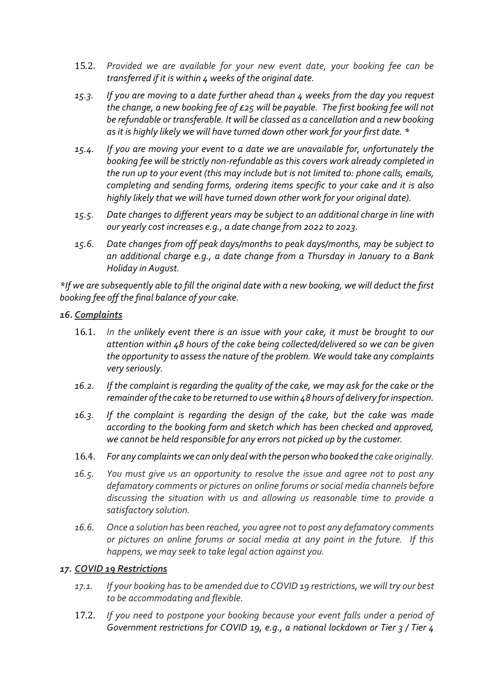- 15.2. *Provided we are available for your new event date, your booking fee can be transferred if it is within 4 weeks of the original date.*
- *15.3. If you are moving to a date further ahead than 4 weeks from the day you request the change, a new booking fee of £25 will be payable. The first booking fee will not be refundable or transferable. It will be classed as a cancellation and a new booking as it is highly likely we will have turned down other work for your first date. \**
- *15.4. If you are moving your event to a date we are unavailable for, unfortunately the booking fee will be strictly non-refundable as this covers work already completed in the run up to your event (this may include but is not limited to: phone calls, emails, completing and sending forms, ordering items specific to your cake and it is also highly likely that we will have turned down other work for your original date).*
- *15.5. Date changes to different years may be subject to an additional charge in line with our yearly cost increases e.g., a date change from 2022 to 2023.*
- *15.6. Date changes from off peak days/months to peak days/months, may be subject to an additional charge e.g., a date change from a Thursday in January to a Bank Holiday in August.*

*\*If we are subsequently able to fill the original date with a new booking, we will deduct the first booking fee off the final balance of your cake.*

## *16. Complaints*

- 16.1. *In the unlikely event there is an issue with your cake, it must be brought to our attention within 48 hours of the cake being collected/delivered so we can be given the opportunity to assess the nature of the problem. We would take any complaints very seriously.*
- *16.2. If the complaint is regarding the quality of the cake, we may ask for the cake or the remainder of the cake to be returned to use within 48 hours of delivery for inspection.*
- *16.3. If the complaint is regarding the design of the cake, but the cake was made according to the booking form and sketch which has been checked and approved, we cannot be held responsible for any errors not picked up by the customer.*
- 16.4. *For any complaints we can only deal with the person who booked the cake originally.*
- *16.5. You must give us an opportunity to resolve the issue and agree not to post any defamatory comments or pictures on online forums or social media channels before discussing the situation with us and allowing us reasonable time to provide a satisfactory solution.*
- *16.6. Once a solution has been reached, you agree not to post any defamatory comments or pictures on online forums or social media at any point in the future. If this happens, we may seek to take legal action against you.*

#### *17. COVID 19 Restrictions*

- *17.1. If your booking has to be amended due to COVID 19 restrictions, we will try our best to be accommodating and flexible.*
- 17.2. *If you need to postpone your booking because your event falls under a period of Government restrictions for COVID 19, e.g., a national lockdown or Tier 3 / Tier 4*